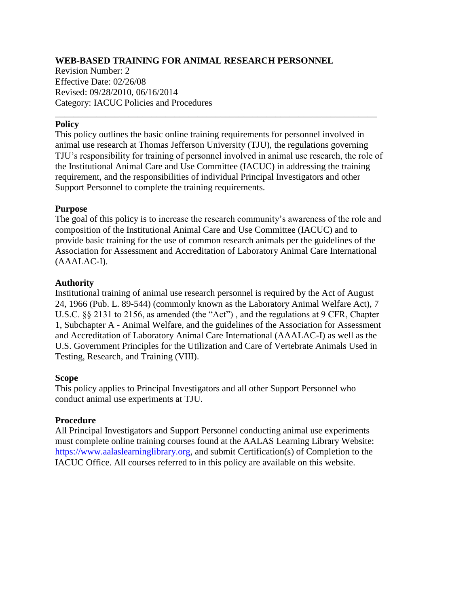## **WEB-BASED TRAINING FOR ANIMAL RESEARCH PERSONNEL**

Revision Number: 2 Effective Date: 02/26/08 Revised: 09/28/2010, 06/16/2014 Category: IACUC Policies and Procedures

### **Policy**

This policy outlines the basic online training requirements for personnel involved in animal use research at Thomas Jefferson University (TJU), the regulations governing TJU's responsibility for training of personnel involved in animal use research, the role of the Institutional Animal Care and Use Committee (IACUC) in addressing the training requirement, and the responsibilities of individual Principal Investigators and other Support Personnel to complete the training requirements.

\_\_\_\_\_\_\_\_\_\_\_\_\_\_\_\_\_\_\_\_\_\_\_\_\_\_\_\_\_\_\_\_\_\_\_\_\_\_\_\_\_\_\_\_\_\_\_\_\_\_\_\_\_\_\_\_\_\_\_\_\_\_\_\_\_\_\_\_\_\_

#### **Purpose**

The goal of this policy is to increase the research community's awareness of the role and composition of the Institutional Animal Care and Use Committee (IACUC) and to provide basic training for the use of common research animals per the guidelines of the Association for Assessment and Accreditation of Laboratory Animal Care International (AAALAC-I).

### **Authority**

Institutional training of animal use research personnel is required by the Act of August 24, 1966 (Pub. L. 89-544) (commonly known as the Laboratory Animal Welfare Act), 7 U.S.C. §§ 2131 to 2156, as amended (the "Act") , and the regulations at 9 CFR, Chapter 1, Subchapter A - Animal Welfare, and the guidelines of the Association for Assessment and Accreditation of Laboratory Animal Care International (AAALAC-I) as well as the U.S. Government Principles for the Utilization and Care of Vertebrate Animals Used in Testing, Research, and Training (VIII).

### **Scope**

This policy applies to Principal Investigators and all other Support Personnel who conduct animal use experiments at TJU.

### **Procedure**

All Principal Investigators and Support Personnel conducting animal use experiments must complete online training courses found at the AALAS Learning Library Website: https://www.aalaslearninglibrary.org, and submit Certification(s) of Completion to the IACUC Office. All courses referred to in this policy are available on this website.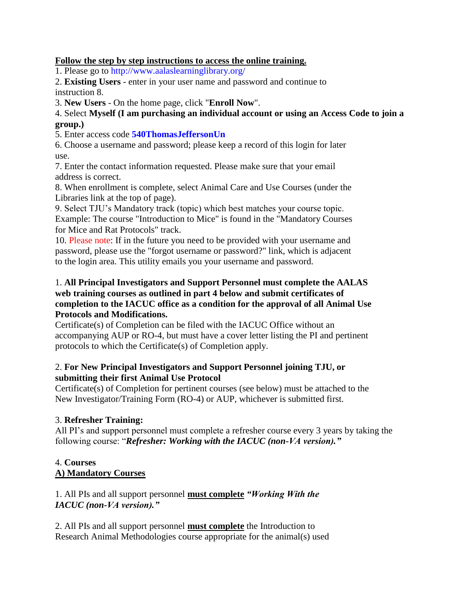## **Follow the step by step instructions to access the online training.**

1. Please go to http://www.aalaslearninglibrary.org/

2. **Existing Users** - enter in your user name and password and continue to instruction 8.

3. **New Users** - On the home page, click "**Enroll Now**".

4. Select **Myself (I am purchasing an individual account or using an Access Code to join a group.)**

5. Enter access code **540ThomasJeffersonUn**

6. Choose a username and password; please keep a record of this login for later use.

7. Enter the contact information requested. Please make sure that your email address is correct.

8. When enrollment is complete, select Animal Care and Use Courses (under the Libraries link at the top of page).

9. Select TJU's Mandatory track (topic) which best matches your course topic. Example: The course "Introduction to Mice" is found in the "Mandatory Courses for Mice and Rat Protocols" track.

10. Please note: If in the future you need to be provided with your username and password, please use the "forgot username or password?" link, which is adjacent to the login area. This utility emails you your username and password.

### 1. **All Principal Investigators and Support Personnel must complete the AALAS web training courses as outlined in part 4 below and submit certificates of completion to the IACUC office as a condition for the approval of all Animal Use Protocols and Modifications.**

Certificate(s) of Completion can be filed with the IACUC Office without an accompanying AUP or RO-4, but must have a cover letter listing the PI and pertinent protocols to which the Certificate(s) of Completion apply.

## 2. **For New Principal Investigators and Support Personnel joining TJU, or submitting their first Animal Use Protocol**

Certificate(s) of Completion for pertinent courses (see below) must be attached to the New Investigator/Training Form (RO-4) or AUP, whichever is submitted first.

## 3. **Refresher Training:**

All PI's and support personnel must complete a refresher course every 3 years by taking the following course: "*Refresher: Working with the IACUC (non-VA version)."*

# 4. **Courses A) Mandatory Courses**

1. All PIs and all support personnel **must complete** *"Working With the IACUC (non-VA version)."*

2. All PIs and all support personnel **must complete** the Introduction to Research Animal Methodologies course appropriate for the animal(s) used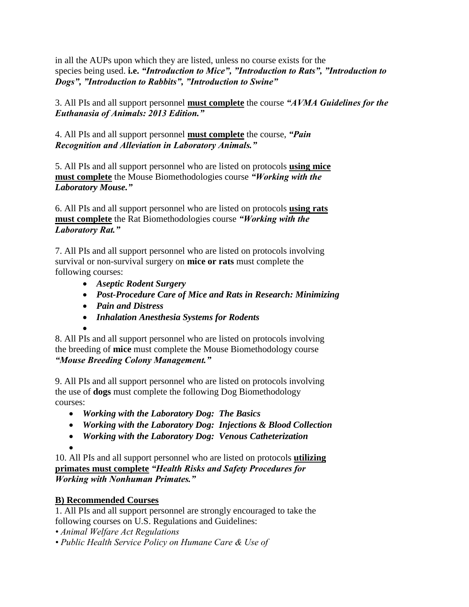in all the AUPs upon which they are listed, unless no course exists for the species being used. **i.e.** *"Introduction to Mice", "Introduction to Rats", "Introduction to Dogs", "Introduction to Rabbits", "Introduction to Swine"*

3. All PIs and all support personnel **must complete** the course *"AVMA Guidelines for the Euthanasia of Animals: 2013 Edition."*

4. All PIs and all support personnel **must complete** the course, *"Pain Recognition and Alleviation in Laboratory Animals."*

5. All PIs and all support personnel who are listed on protocols **using mice must complete** the Mouse Biomethodologies course *"Working with the Laboratory Mouse."*

6. All PIs and all support personnel who are listed on protocols **using rats must complete** the Rat Biomethodologies course *"Working with the Laboratory Rat."*

7. All PIs and all support personnel who are listed on protocols involving survival or non-survival surgery on **mice or rats** must complete the following courses:

- *Aseptic Rodent Surgery*
- *Post-Procedure Care of Mice and Rats in Research: Minimizing*
- *Pain and Distress*
- *Inhalation Anesthesia Systems for Rodents*

 $\bullet$ 8. All PIs and all support personnel who are listed on protocols involving the breeding of **mice** must complete the Mouse Biomethodology course *"Mouse Breeding Colony Management."*

9. All PIs and all support personnel who are listed on protocols involving the use of **dogs** must complete the following Dog Biomethodology courses:

- *Working with the Laboratory Dog: The Basics*
- *Working with the Laboratory Dog: Injections & Blood Collection*
- *Working with the Laboratory Dog: Venous Catheterization*

 $\bullet$ 

10. All PIs and all support personnel who are listed on protocols **utilizing primates must complete** *"Health Risks and Safety Procedures for Working with Nonhuman Primates."*

# **B) Recommended Courses**

1. All PIs and all support personnel are strongly encouraged to take the following courses on U.S. Regulations and Guidelines:

- *Animal Welfare Act Regulations*
- *Public Health Service Policy on Humane Care & Use of*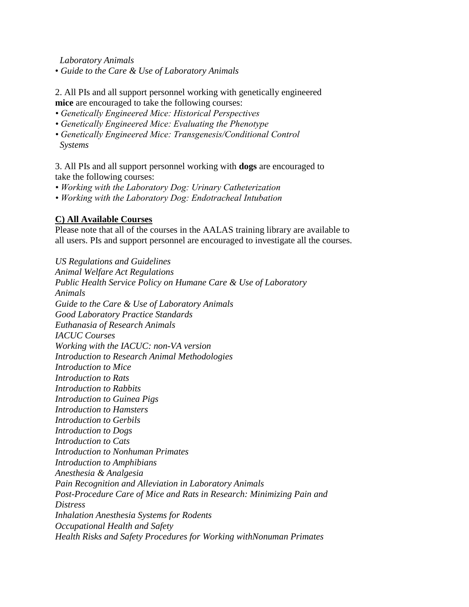*Laboratory Animals*

• *Guide to the Care & Use of Laboratory Animals*

2. All PIs and all support personnel working with genetically engineered **mice** are encouraged to take the following courses:

- *Genetically Engineered Mice: Historical Perspectives*
- *Genetically Engineered Mice: Evaluating the Phenotype*
- *Genetically Engineered Mice: Transgenesis/Conditional Control Systems*

3. All PIs and all support personnel working with **dogs** are encouraged to take the following courses:

- *Working with the Laboratory Dog: Urinary Catheterization*
- *Working with the Laboratory Dog: Endotracheal Intubation*

### **C) All Available Courses**

Please note that all of the courses in the AALAS training library are available to all users. PIs and support personnel are encouraged to investigate all the courses.

*US Regulations and Guidelines Animal Welfare Act Regulations Public Health Service Policy on Humane Care & Use of Laboratory Animals Guide to the Care & Use of Laboratory Animals Good Laboratory Practice Standards Euthanasia of Research Animals IACUC Courses Working with the IACUC: non-VA version Introduction to Research Animal Methodologies Introduction to Mice Introduction to Rats Introduction to Rabbits Introduction to Guinea Pigs Introduction to Hamsters Introduction to Gerbils Introduction to Dogs Introduction to Cats Introduction to Nonhuman Primates Introduction to Amphibians Anesthesia & Analgesia Pain Recognition and Alleviation in Laboratory Animals Post-Procedure Care of Mice and Rats in Research: Minimizing Pain and Distress Inhalation Anesthesia Systems for Rodents Occupational Health and Safety Health Risks and Safety Procedures for Working withNonuman Primates*